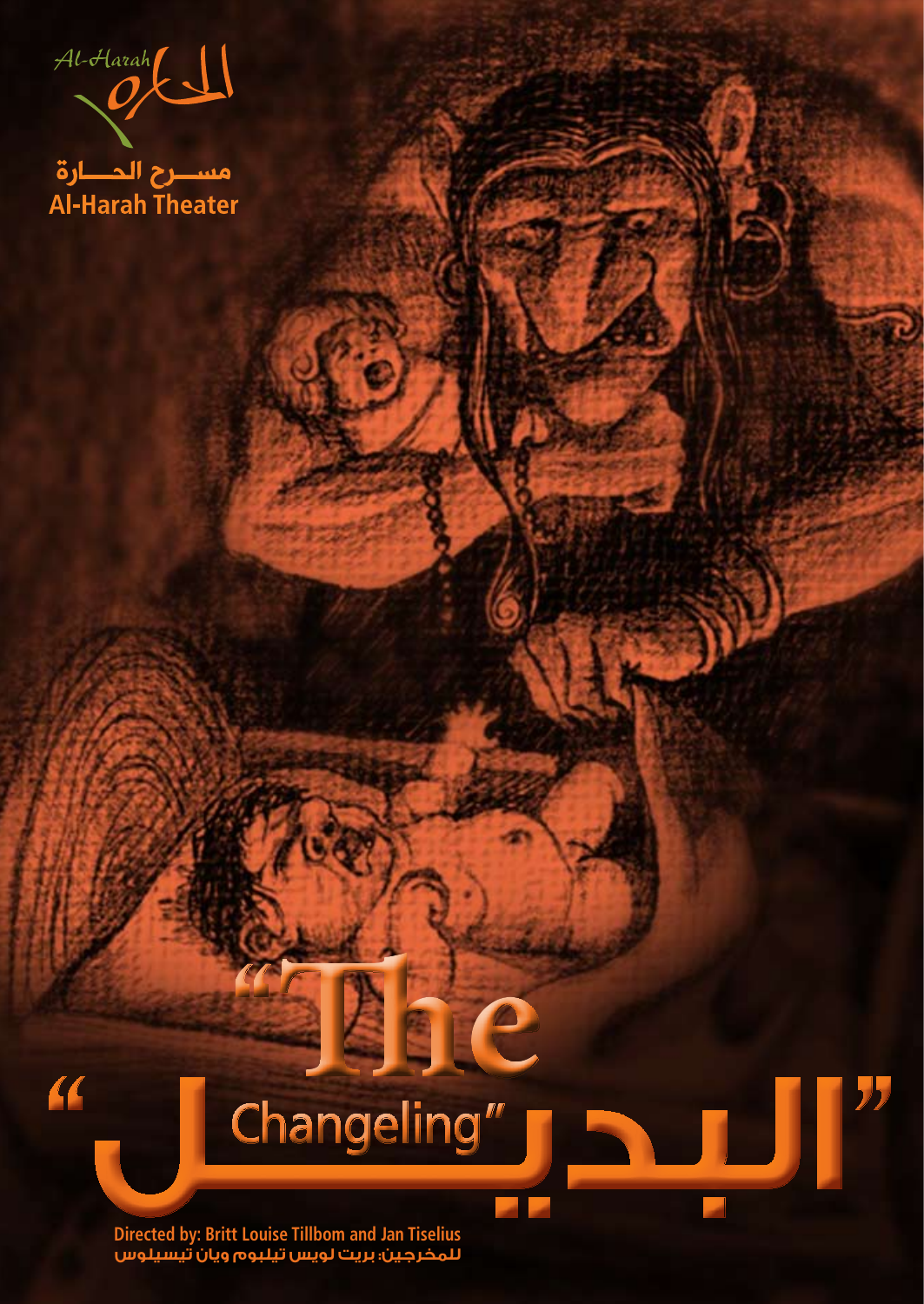$\mathcal{O}$ 

مســـرح الـمــــارة<br>Al-Harah Theater

### **1998 Changeling"**<br>Directed by: Britt Louise Tillbom and Jan Tiselius "Changeling

 **The"**

**Directed by: Britt Louise Tillbom and Jan Tiselius للمخرجين: بريت لويس تيلبوم ويان تيسيلوس**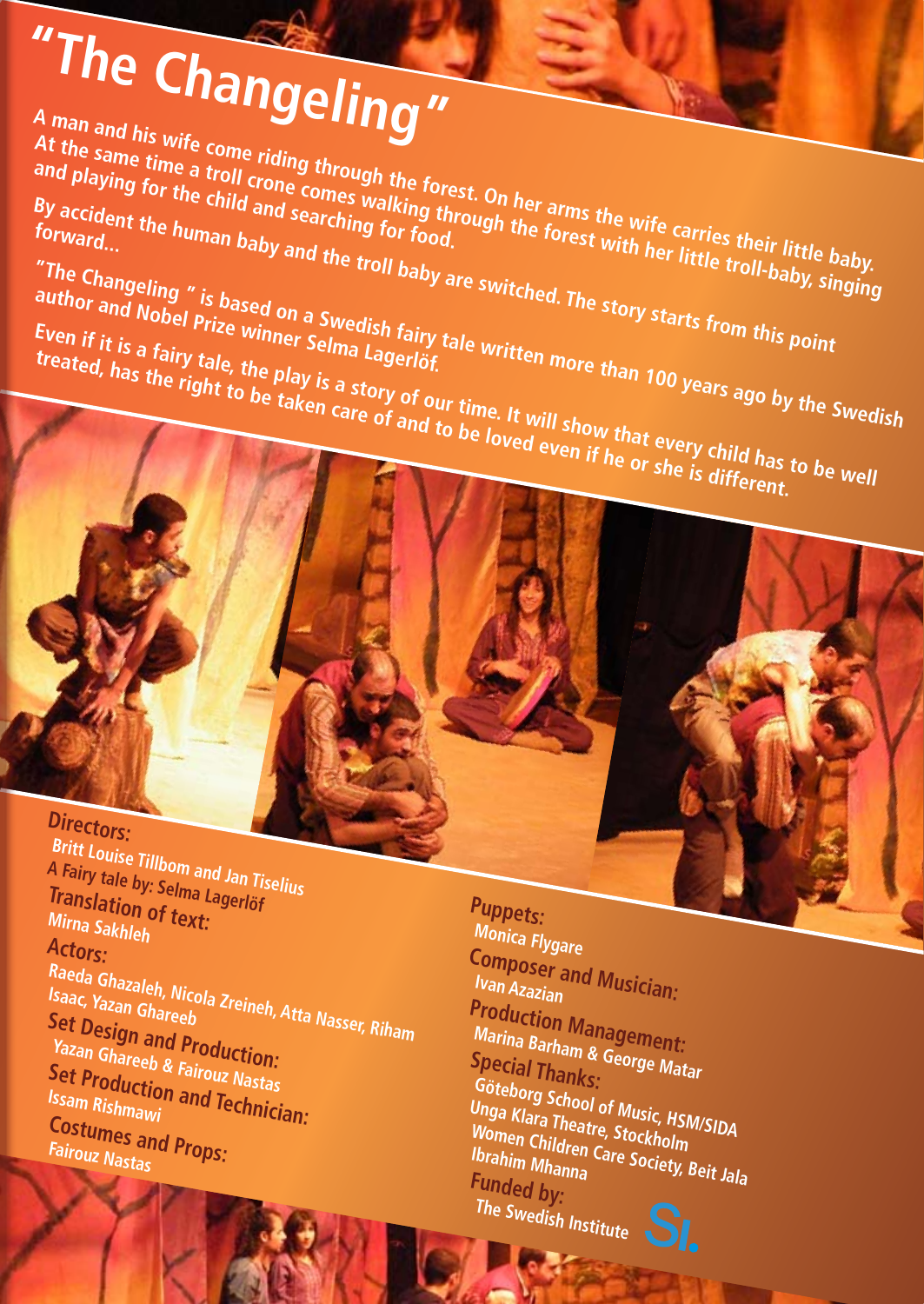# "The Changeling"

A man and his wife come riding through the forest. On her arms the wife carries their little baby<br>and playing for the child and searching through the forest. On her arms the wife carries their little baby<br>forward...<br>The cu **A man and nis wife come numg unough me torest, on her anns us with forest with forest men nume vapy.**<br>At the same time a troll crone comes walking through the forest with her little troll-baby, singing and playing for the atroll crone comes walking the<br>By accident the child and searching for the<br>forward...

By accident the human baby and the troll baby are switched. The story starts from this point<br>author and Nobel Prize winner Selma Lagerlöf.<br>Even if it is a fairy tale, the play is a story of our time. It will show that ever The Changeling " is based on a Swedish fairy tale writched. The story starts from this point<br>author and Nobel Prize winner Selma Lagerlöf.<br>Even if it is a fairy tale, the play is a story of our time. It will show than 100 author and Nobel Prize winner Swedish fairy<br>Even if it is a fairy tale, the plast salma Lagerlöf<br>treated, has derived the plast salma Lagerlöf Even if it is a fairy tale, the play is a story of our time. It will show that every child has the right to be taken care of and to be loved even if he or she is different.

Directors: **Britt Louise Tillbom and Jan Tiselius A Fairy tale by: Selma Lagerlöf Translation of text: Mirna Sakhleh** Actors: Raeda Ghazaleh, Nicola Zreineh, Atta Nasser, Riham<br>Isaac, Yazan Ghareeb<br>Nasi **Design and R**a Isaac, Yazaren, Nic*o*<br>Sat D **Set Design and Production: Yazan Ghareeb & Fairouz Nastas Set Production and Technician:**<br>Issam Rishmawi and Technician:<br>Cost Rishmawi **Costumes and Props: Fairouz Nastas** 

**:Puppets Monica Flygare Composer and Musician:**<br>Ivan Azazian **Ivan Azazian**<br>**Production Management: Marina Barham & George Matar**<br>Special Thanke **Special Thanks: Göteborg School of Music, HSM/SIDA Unga Klara Theatre, Stockholm** Women Children Care (*Mamil)SIDA*<br>Ibrahim Mhanna Care Society, Beit Jala **Funded by: The Swedish Institute**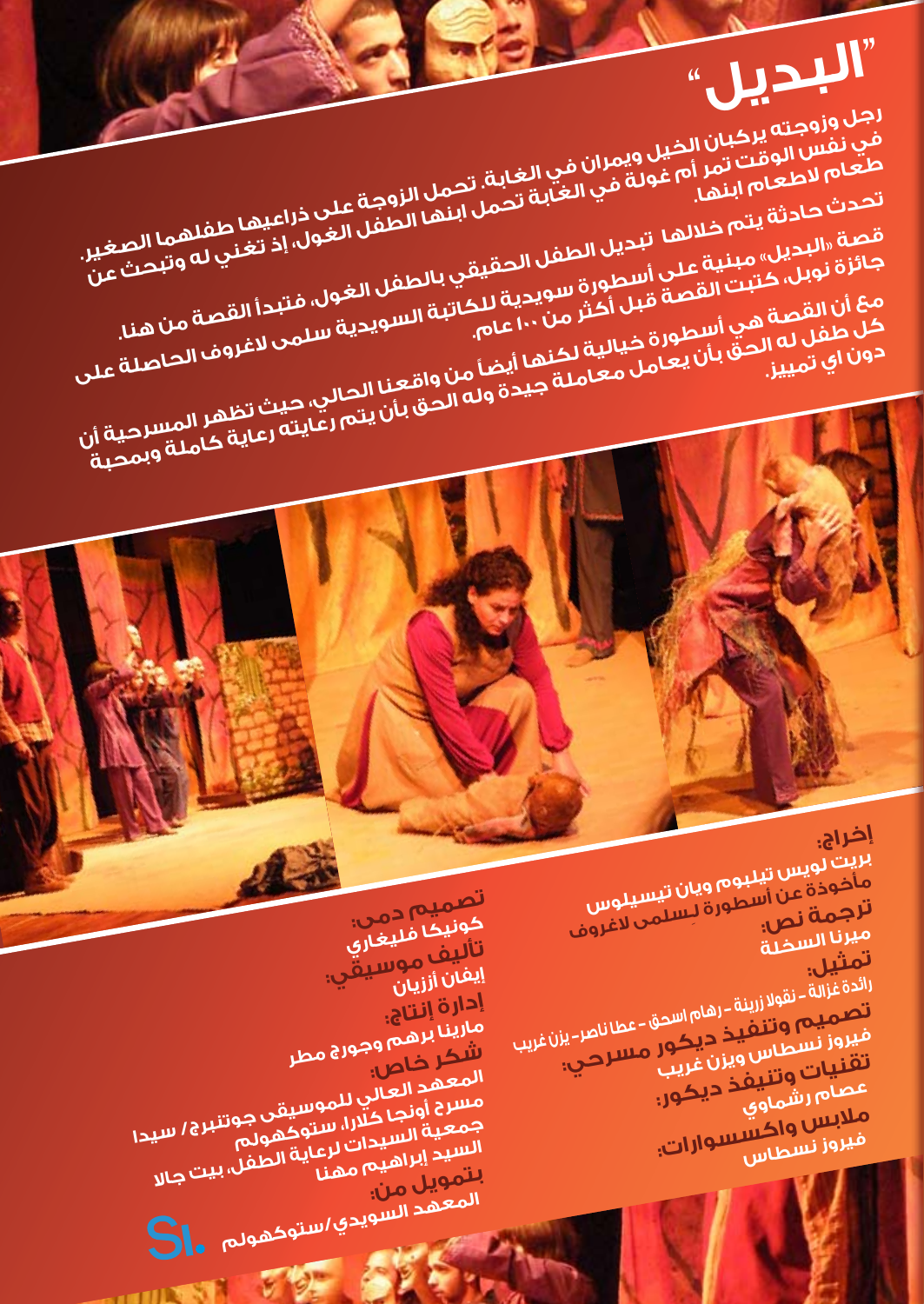## **رجل وزوجته يركبان الخيل ويمران في الغابة. تحمل الزوجة على ذراعيها طفلهما الصغير.** لجل وروجته يرحون الحكم ويمرّان مي الغابة تحمل الزوجية على دراعتهما تصنيح.<br>في نفس الوقت تمر أم غولة في الغابة تحمل ابنها الطفل الغول، إذ تغني له وتبحث الصغير.<br>مام إمراطهام اسما **"البديل"**

**طعام الطعام ابنها.**

تحدث حادثة يتم خلالها تبديل العالة تحمل النها الوقية على ذراعيها طفلهما الصر<br>قصة <sub>«</sub>البديل» مبنية على أسطورة للطفل الحقيقي بالطفل الغول، إذ تغني له وتبحث<br>جائزة نوبل، كتبت القصة قبل أكثر من الطفل الحقيقي بالطفل الغول، فتبد

قصة «البديل» <sup>م</sup>صلاتها تبديل الطفل الحقيقي بالطعن الغول، إذ تغني له وتبحث الصغير.<br>جائزة نوبل، كتبت القصة على أسطورة سويدية للكاتبة الطفل الغول، فتبدأ القصة من هند.<br>مع أن القصة هي أسطورة شبل أكثر من ١٠٠ عام.<br>كل طفل له الحق

مع أن القصة هي أسطورة خيالية لكنها أيضاً من واقعنا الحالي، حيث تظهر المسرحية أن<br>من من المسرحية المستشهدات المستخدمات المقررات الحالي، حيث تظهر المسرحية أن لعل المعامل له الحق بأن يعامل معاملة جيدة وله الحق بأن يتم لحق بأن يتم لحقها المسرحية المسرحية المسرحية المسرحية<br>خان المرتولين<br>جون المرتولين

**كونيكا فليغاري تأليف موسيقي: إيفان أززيان مارينا برهم وجورج مطر إدارة إنتاج:**  المعكد كلم<sup>ي و</sup>جول<sup>ج</sup> مطر<br>المعهد العالي للموسيقى جوتنبرج<br>مسرح أونجا كلارا، ستوكهولم<br>يسيد السيدات لرعية خ<sup>ع</sup>ولم جمعية السيدات للتوكهي <del>جوانلبر</del>ج/ س<sub>ل</sub><br>السيد إبراهيم مهنا<br>المصوبا التمويل من:<br>المعهد السويدي/ستوكهولم **.**<br>-

- 11 M

**تصميم دمى:**

**بريت لويس تيلبوم ويان تيسيلوس إخراج:** مأخوذة عن أسطورة ويان تيسيلوس<br>**ترجمة ن**ص أسطورة لـِسلمى لاغروف<br>مبرن<sub>ا الس</sub>من: **ميرنا السخلة** لتمثيل.<br>ا<sup>ل</sup>ثدة غزالة - نقولا زرينة - رهام اسحق - عطا ناصر- يزن غريب<br>فيروز نسطاس ويزن غريب مسترحب:<br>فيروز نسطاس ويزن غريب **تصميم وتنفيذ ديكور مسرحي: فيروز نسطاس ويزن غريب تقنيات وتنيفذ ديكور: عصام رشماوي** ملابس واكسسوارات<sub>:</sub><br>ميروز نسط<sub>اس</sub> **فيروز نسطاس**